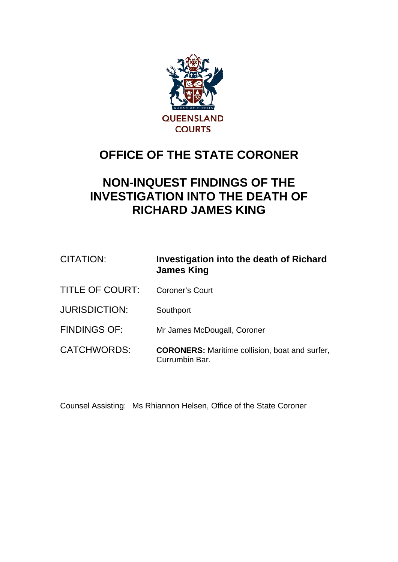

# **OFFICE OF THE STATE CORONER**

# **NON-INQUEST FINDINGS OF THE INVESTIGATION INTO THE DEATH OF RICHARD JAMES KING**

| CITATION:              | Investigation into the death of Richard<br><b>James King</b>            |
|------------------------|-------------------------------------------------------------------------|
| <b>TITLE OF COURT:</b> | <b>Coroner's Court</b>                                                  |
| <b>JURISDICTION:</b>   | Southport                                                               |
| <b>FINDINGS OF:</b>    | Mr James McDougall, Coroner                                             |
| CATCHWORDS:            | <b>CORONERS:</b> Maritime collision, boat and surfer,<br>Currumbin Bar. |

Counsel Assisting: Ms Rhiannon Helsen, Office of the State Coroner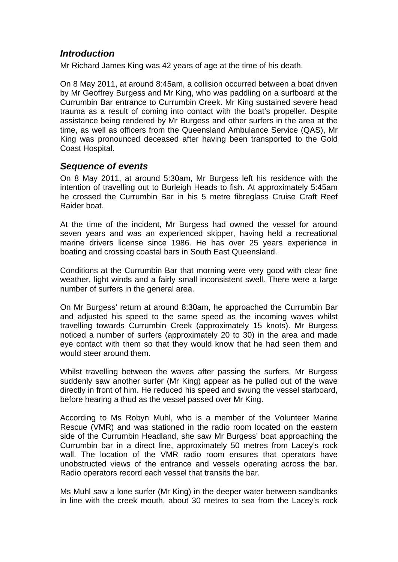# *Introduction*

Mr Richard James King was 42 years of age at the time of his death.

On 8 May 2011, at around 8:45am, a collision occurred between a boat driven by Mr Geoffrey Burgess and Mr King, who was paddling on a surfboard at the Currumbin Bar entrance to Currumbin Creek. Mr King sustained severe head trauma as a result of coming into contact with the boat's propeller. Despite assistance being rendered by Mr Burgess and other surfers in the area at the time, as well as officers from the Queensland Ambulance Service (QAS), Mr King was pronounced deceased after having been transported to the Gold Coast Hospital.

## *Sequence of events*

On 8 May 2011, at around 5:30am, Mr Burgess left his residence with the intention of travelling out to Burleigh Heads to fish. At approximately 5:45am he crossed the Currumbin Bar in his 5 metre fibreglass Cruise Craft Reef Raider boat.

At the time of the incident, Mr Burgess had owned the vessel for around seven years and was an experienced skipper, having held a recreational marine drivers license since 1986. He has over 25 years experience in boating and crossing coastal bars in South East Queensland.

Conditions at the Currumbin Bar that morning were very good with clear fine weather, light winds and a fairly small inconsistent swell. There were a large number of surfers in the general area.

On Mr Burgess' return at around 8:30am, he approached the Currumbin Bar and adjusted his speed to the same speed as the incoming waves whilst travelling towards Currumbin Creek (approximately 15 knots). Mr Burgess noticed a number of surfers (approximately 20 to 30) in the area and made eye contact with them so that they would know that he had seen them and would steer around them.

Whilst travelling between the waves after passing the surfers, Mr Burgess suddenly saw another surfer (Mr King) appear as he pulled out of the wave directly in front of him. He reduced his speed and swung the vessel starboard, before hearing a thud as the vessel passed over Mr King.

According to Ms Robyn Muhl, who is a member of the Volunteer Marine Rescue (VMR) and was stationed in the radio room located on the eastern side of the Currumbin Headland, she saw Mr Burgess' boat approaching the Currumbin bar in a direct line, approximately 50 metres from Lacey's rock wall. The location of the VMR radio room ensures that operators have unobstructed views of the entrance and vessels operating across the bar. Radio operators record each vessel that transits the bar.

Ms Muhl saw a lone surfer (Mr King) in the deeper water between sandbanks in line with the creek mouth, about 30 metres to sea from the Lacey's rock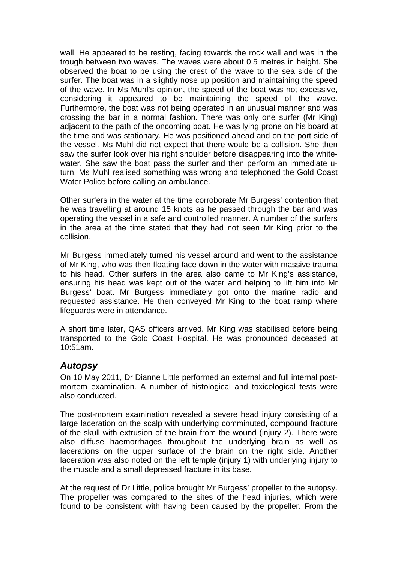wall. He appeared to be resting, facing towards the rock wall and was in the trough between two waves. The waves were about 0.5 metres in height. She observed the boat to be using the crest of the wave to the sea side of the surfer. The boat was in a slightly nose up position and maintaining the speed of the wave. In Ms Muhl's opinion, the speed of the boat was not excessive, considering it appeared to be maintaining the speed of the wave. Furthermore, the boat was not being operated in an unusual manner and was crossing the bar in a normal fashion. There was only one surfer (Mr King) adjacent to the path of the oncoming boat. He was lying prone on his board at the time and was stationary. He was positioned ahead and on the port side of the vessel. Ms Muhl did not expect that there would be a collision. She then saw the surfer look over his right shoulder before disappearing into the whitewater. She saw the boat pass the surfer and then perform an immediate uturn. Ms Muhl realised something was wrong and telephoned the Gold Coast Water Police before calling an ambulance.

Other surfers in the water at the time corroborate Mr Burgess' contention that he was travelling at around 15 knots as he passed through the bar and was operating the vessel in a safe and controlled manner. A number of the surfers in the area at the time stated that they had not seen Mr King prior to the collision.

Mr Burgess immediately turned his vessel around and went to the assistance of Mr King, who was then floating face down in the water with massive trauma to his head. Other surfers in the area also came to Mr King's assistance, ensuring his head was kept out of the water and helping to lift him into Mr Burgess' boat. Mr Burgess immediately got onto the marine radio and requested assistance. He then conveyed Mr King to the boat ramp where lifeguards were in attendance.

A short time later, QAS officers arrived. Mr King was stabilised before being transported to the Gold Coast Hospital. He was pronounced deceased at 10:51am.

## *Autopsy*

On 10 May 2011, Dr Dianne Little performed an external and full internal postmortem examination. A number of histological and toxicological tests were also conducted.

The post-mortem examination revealed a severe head injury consisting of a large laceration on the scalp with underlying comminuted, compound fracture of the skull with extrusion of the brain from the wound (injury 2). There were also diffuse haemorrhages throughout the underlying brain as well as lacerations on the upper surface of the brain on the right side. Another laceration was also noted on the left temple (injury 1) with underlying injury to the muscle and a small depressed fracture in its base.

At the request of Dr Little, police brought Mr Burgess' propeller to the autopsy. The propeller was compared to the sites of the head injuries, which were found to be consistent with having been caused by the propeller. From the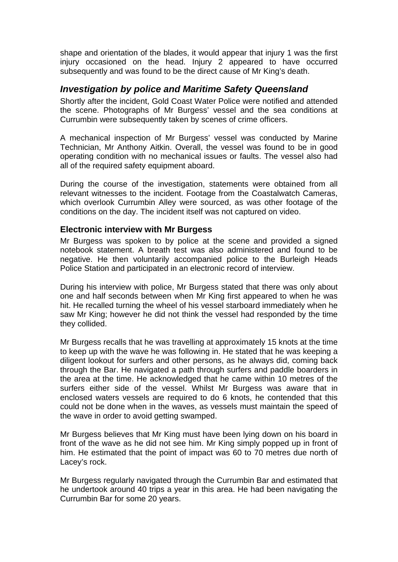shape and orientation of the blades, it would appear that injury 1 was the first injury occasioned on the head. Injury 2 appeared to have occurred subsequently and was found to be the direct cause of Mr King's death.

# *Investigation by police and Maritime Safety Queensland*

Shortly after the incident, Gold Coast Water Police were notified and attended the scene. Photographs of Mr Burgess' vessel and the sea conditions at Currumbin were subsequently taken by scenes of crime officers.

A mechanical inspection of Mr Burgess' vessel was conducted by Marine Technician, Mr Anthony Aitkin. Overall, the vessel was found to be in good operating condition with no mechanical issues or faults. The vessel also had all of the required safety equipment aboard.

During the course of the investigation, statements were obtained from all relevant witnesses to the incident. Footage from the Coastalwatch Cameras, which overlook Currumbin Alley were sourced, as was other footage of the conditions on the day. The incident itself was not captured on video.

## **Electronic interview with Mr Burgess**

Mr Burgess was spoken to by police at the scene and provided a signed notebook statement. A breath test was also administered and found to be negative. He then voluntarily accompanied police to the Burleigh Heads Police Station and participated in an electronic record of interview.

During his interview with police, Mr Burgess stated that there was only about one and half seconds between when Mr King first appeared to when he was hit. He recalled turning the wheel of his vessel starboard immediately when he saw Mr King; however he did not think the vessel had responded by the time they collided.

Mr Burgess recalls that he was travelling at approximately 15 knots at the time to keep up with the wave he was following in. He stated that he was keeping a diligent lookout for surfers and other persons, as he always did, coming back through the Bar. He navigated a path through surfers and paddle boarders in the area at the time. He acknowledged that he came within 10 metres of the surfers either side of the vessel. Whilst Mr Burgess was aware that in enclosed waters vessels are required to do 6 knots, he contended that this could not be done when in the waves, as vessels must maintain the speed of the wave in order to avoid getting swamped.

Mr Burgess believes that Mr King must have been lying down on his board in front of the wave as he did not see him. Mr King simply popped up in front of him. He estimated that the point of impact was 60 to 70 metres due north of Lacey's rock.

Mr Burgess regularly navigated through the Currumbin Bar and estimated that he undertook around 40 trips a year in this area. He had been navigating the Currumbin Bar for some 20 years.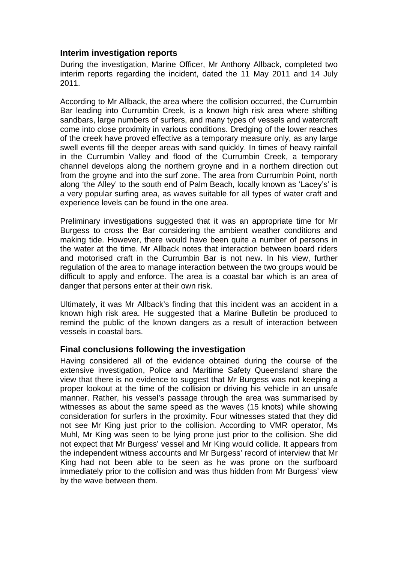## **Interim investigation reports**

During the investigation, Marine Officer, Mr Anthony Allback, completed two interim reports regarding the incident, dated the 11 May 2011 and 14 July 2011.

According to Mr Allback, the area where the collision occurred, the Currumbin Bar leading into Currumbin Creek, is a known high risk area where shifting sandbars, large numbers of surfers, and many types of vessels and watercraft come into close proximity in various conditions. Dredging of the lower reaches of the creek have proved effective as a temporary measure only, as any large swell events fill the deeper areas with sand quickly. In times of heavy rainfall in the Currumbin Valley and flood of the Currumbin Creek, a temporary channel develops along the northern groyne and in a northern direction out from the groyne and into the surf zone. The area from Currumbin Point, north along 'the Alley' to the south end of Palm Beach, locally known as 'Lacey's' is a very popular surfing area, as waves suitable for all types of water craft and experience levels can be found in the one area.

Preliminary investigations suggested that it was an appropriate time for Mr Burgess to cross the Bar considering the ambient weather conditions and making tide. However, there would have been quite a number of persons in the water at the time. Mr Allback notes that interaction between board riders and motorised craft in the Currumbin Bar is not new. In his view, further regulation of the area to manage interaction between the two groups would be difficult to apply and enforce. The area is a coastal bar which is an area of danger that persons enter at their own risk.

Ultimately, it was Mr Allback's finding that this incident was an accident in a known high risk area. He suggested that a Marine Bulletin be produced to remind the public of the known dangers as a result of interaction between vessels in coastal bars.

#### **Final conclusions following the investigation**

Having considered all of the evidence obtained during the course of the extensive investigation, Police and Maritime Safety Queensland share the view that there is no evidence to suggest that Mr Burgess was not keeping a proper lookout at the time of the collision or driving his vehicle in an unsafe manner. Rather, his vessel's passage through the area was summarised by witnesses as about the same speed as the waves (15 knots) while showing consideration for surfers in the proximity. Four witnesses stated that they did not see Mr King just prior to the collision. According to VMR operator, Ms Muhl, Mr King was seen to be lying prone just prior to the collision. She did not expect that Mr Burgess' vessel and Mr King would collide. It appears from the independent witness accounts and Mr Burgess' record of interview that Mr King had not been able to be seen as he was prone on the surfboard immediately prior to the collision and was thus hidden from Mr Burgess' view by the wave between them.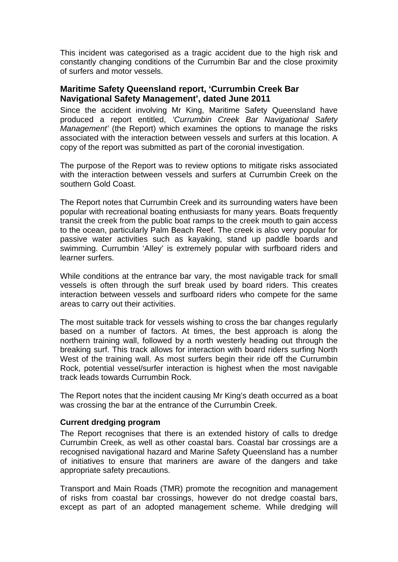This incident was categorised as a tragic accident due to the high risk and constantly changing conditions of the Currumbin Bar and the close proximity of surfers and motor vessels.

## **Maritime Safety Queensland report, 'Currumbin Creek Bar Navigational Safety Management', dated June 2011**

Since the accident involving Mr King, Maritime Safety Queensland have produced a report entitled, *'Currumbin Creek Bar Navigational Safety Management'* (the Report) which examines the options to manage the risks associated with the interaction between vessels and surfers at this location. A copy of the report was submitted as part of the coronial investigation.

The purpose of the Report was to review options to mitigate risks associated with the interaction between vessels and surfers at Currumbin Creek on the southern Gold Coast.

The Report notes that Currumbin Creek and its surrounding waters have been popular with recreational boating enthusiasts for many years. Boats frequently transit the creek from the public boat ramps to the creek mouth to gain access to the ocean, particularly Palm Beach Reef. The creek is also very popular for passive water activities such as kayaking, stand up paddle boards and swimming. Currumbin 'Alley' is extremely popular with surfboard riders and learner surfers.

While conditions at the entrance bar vary, the most navigable track for small vessels is often through the surf break used by board riders. This creates interaction between vessels and surfboard riders who compete for the same areas to carry out their activities.

The most suitable track for vessels wishing to cross the bar changes regularly based on a number of factors. At times, the best approach is along the northern training wall, followed by a north westerly heading out through the breaking surf. This track allows for interaction with board riders surfing North West of the training wall. As most surfers begin their ride off the Currumbin Rock, potential vessel/surfer interaction is highest when the most navigable track leads towards Currumbin Rock.

The Report notes that the incident causing Mr King's death occurred as a boat was crossing the bar at the entrance of the Currumbin Creek.

#### **Current dredging program**

The Report recognises that there is an extended history of calls to dredge Currumbin Creek, as well as other coastal bars. Coastal bar crossings are a recognised navigational hazard and Marine Safety Queensland has a number of initiatives to ensure that mariners are aware of the dangers and take appropriate safety precautions.

Transport and Main Roads (TMR) promote the recognition and management of risks from coastal bar crossings, however do not dredge coastal bars, except as part of an adopted management scheme. While dredging will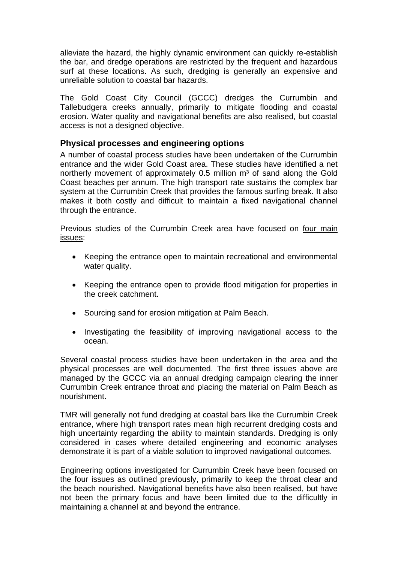alleviate the hazard, the highly dynamic environment can quickly re-establish the bar, and dredge operations are restricted by the frequent and hazardous surf at these locations. As such, dredging is generally an expensive and unreliable solution to coastal bar hazards.

The Gold Coast City Council (GCCC) dredges the Currumbin and Tallebudgera creeks annually, primarily to mitigate flooding and coastal erosion. Water quality and navigational benefits are also realised, but coastal access is not a designed objective.

## **Physical processes and engineering options**

A number of coastal process studies have been undertaken of the Currumbin entrance and the wider Gold Coast area. These studies have identified a net northerly movement of approximately  $0.5$  million  $m<sup>3</sup>$  of sand along the Gold Coast beaches per annum. The high transport rate sustains the complex bar system at the Currumbin Creek that provides the famous surfing break. It also makes it both costly and difficult to maintain a fixed navigational channel through the entrance.

Previous studies of the Currumbin Creek area have focused on four main issues:

- Keeping the entrance open to maintain recreational and environmental water quality.
- Keeping the entrance open to provide flood mitigation for properties in the creek catchment.
- Sourcing sand for erosion mitigation at Palm Beach.
- Investigating the feasibility of improving navigational access to the ocean.

Several coastal process studies have been undertaken in the area and the physical processes are well documented. The first three issues above are managed by the GCCC via an annual dredging campaign clearing the inner Currumbin Creek entrance throat and placing the material on Palm Beach as nourishment.

TMR will generally not fund dredging at coastal bars like the Currumbin Creek entrance, where high transport rates mean high recurrent dredging costs and high uncertainty regarding the ability to maintain standards. Dredging is only considered in cases where detailed engineering and economic analyses demonstrate it is part of a viable solution to improved navigational outcomes.

Engineering options investigated for Currumbin Creek have been focused on the four issues as outlined previously, primarily to keep the throat clear and the beach nourished. Navigational benefits have also been realised, but have not been the primary focus and have been limited due to the difficultly in maintaining a channel at and beyond the entrance.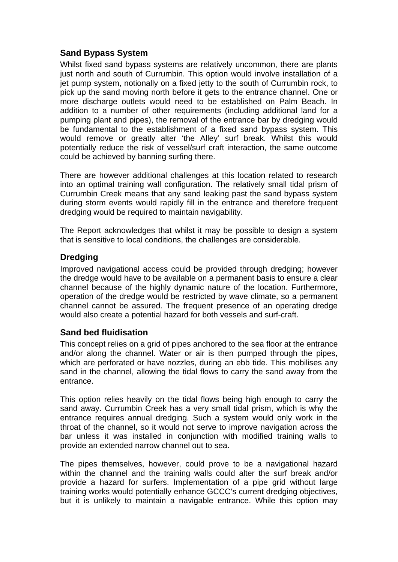# **Sand Bypass System**

Whilst fixed sand bypass systems are relatively uncommon, there are plants just north and south of Currumbin. This option would involve installation of a jet pump system, notionally on a fixed jetty to the south of Currumbin rock, to pick up the sand moving north before it gets to the entrance channel. One or more discharge outlets would need to be established on Palm Beach. In addition to a number of other requirements (including additional land for a pumping plant and pipes), the removal of the entrance bar by dredging would be fundamental to the establishment of a fixed sand bypass system. This would remove or greatly alter 'the Alley' surf break. Whilst this would potentially reduce the risk of vessel/surf craft interaction, the same outcome could be achieved by banning surfing there.

There are however additional challenges at this location related to research into an optimal training wall configuration. The relatively small tidal prism of Currumbin Creek means that any sand leaking past the sand bypass system during storm events would rapidly fill in the entrance and therefore frequent dredging would be required to maintain navigability.

The Report acknowledges that whilst it may be possible to design a system that is sensitive to local conditions, the challenges are considerable.

# **Dredging**

Improved navigational access could be provided through dredging; however the dredge would have to be available on a permanent basis to ensure a clear channel because of the highly dynamic nature of the location. Furthermore, operation of the dredge would be restricted by wave climate, so a permanent channel cannot be assured. The frequent presence of an operating dredge would also create a potential hazard for both vessels and surf-craft.

## **Sand bed fluidisation**

This concept relies on a grid of pipes anchored to the sea floor at the entrance and/or along the channel. Water or air is then pumped through the pipes, which are perforated or have nozzles, during an ebb tide. This mobilises any sand in the channel, allowing the tidal flows to carry the sand away from the entrance.

This option relies heavily on the tidal flows being high enough to carry the sand away. Currumbin Creek has a very small tidal prism, which is why the entrance requires annual dredging. Such a system would only work in the throat of the channel, so it would not serve to improve navigation across the bar unless it was installed in conjunction with modified training walls to provide an extended narrow channel out to sea.

The pipes themselves, however, could prove to be a navigational hazard within the channel and the training walls could alter the surf break and/or provide a hazard for surfers. Implementation of a pipe grid without large training works would potentially enhance GCCC's current dredging objectives, but it is unlikely to maintain a navigable entrance. While this option may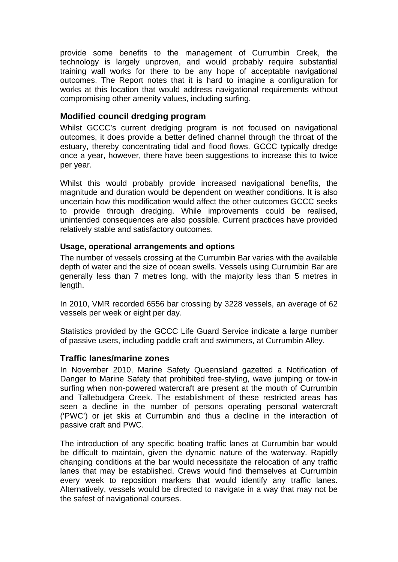provide some benefits to the management of Currumbin Creek, the technology is largely unproven, and would probably require substantial training wall works for there to be any hope of acceptable navigational outcomes. The Report notes that it is hard to imagine a configuration for works at this location that would address navigational requirements without compromising other amenity values, including surfing.

## **Modified council dredging program**

Whilst GCCC's current dredging program is not focused on navigational outcomes, it does provide a better defined channel through the throat of the estuary, thereby concentrating tidal and flood flows. GCCC typically dredge once a year, however, there have been suggestions to increase this to twice per year.

Whilst this would probably provide increased navigational benefits, the magnitude and duration would be dependent on weather conditions. It is also uncertain how this modification would affect the other outcomes GCCC seeks to provide through dredging. While improvements could be realised, unintended consequences are also possible. Current practices have provided relatively stable and satisfactory outcomes.

#### **Usage, operational arrangements and options**

The number of vessels crossing at the Currumbin Bar varies with the available depth of water and the size of ocean swells. Vessels using Currumbin Bar are generally less than 7 metres long, with the majority less than 5 metres in length.

In 2010, VMR recorded 6556 bar crossing by 3228 vessels, an average of 62 vessels per week or eight per day.

Statistics provided by the GCCC Life Guard Service indicate a large number of passive users, including paddle craft and swimmers, at Currumbin Alley.

#### **Traffic lanes/marine zones**

In November 2010, Marine Safety Queensland gazetted a Notification of Danger to Marine Safety that prohibited free-styling, wave jumping or tow-in surfing when non-powered watercraft are present at the mouth of Currumbin and Tallebudgera Creek. The establishment of these restricted areas has seen a decline in the number of persons operating personal watercraft ('PWC') or jet skis at Currumbin and thus a decline in the interaction of passive craft and PWC.

The introduction of any specific boating traffic lanes at Currumbin bar would be difficult to maintain, given the dynamic nature of the waterway. Rapidly changing conditions at the bar would necessitate the relocation of any traffic lanes that may be established. Crews would find themselves at Currumbin every week to reposition markers that would identify any traffic lanes. Alternatively, vessels would be directed to navigate in a way that may not be the safest of navigational courses.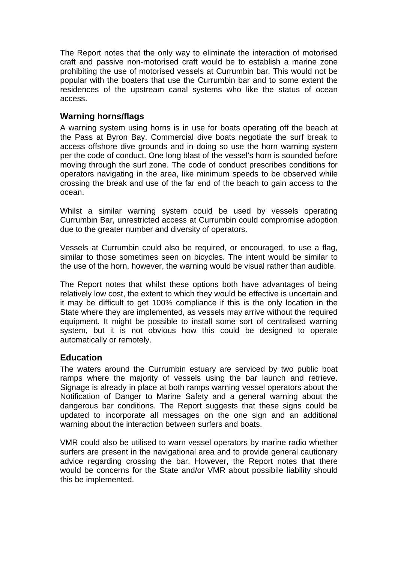The Report notes that the only way to eliminate the interaction of motorised craft and passive non-motorised craft would be to establish a marine zone prohibiting the use of motorised vessels at Currumbin bar. This would not be popular with the boaters that use the Currumbin bar and to some extent the residences of the upstream canal systems who like the status of ocean access.

# **Warning horns/flags**

A warning system using horns is in use for boats operating off the beach at the Pass at Byron Bay. Commercial dive boats negotiate the surf break to access offshore dive grounds and in doing so use the horn warning system per the code of conduct. One long blast of the vessel's horn is sounded before moving through the surf zone. The code of conduct prescribes conditions for operators navigating in the area, like minimum speeds to be observed while crossing the break and use of the far end of the beach to gain access to the ocean.

Whilst a similar warning system could be used by vessels operating Currumbin Bar, unrestricted access at Currumbin could compromise adoption due to the greater number and diversity of operators.

Vessels at Currumbin could also be required, or encouraged, to use a flag, similar to those sometimes seen on bicycles. The intent would be similar to the use of the horn, however, the warning would be visual rather than audible.

The Report notes that whilst these options both have advantages of being relatively low cost, the extent to which they would be effective is uncertain and it may be difficult to get 100% compliance if this is the only location in the State where they are implemented, as vessels may arrive without the required equipment. It might be possible to install some sort of centralised warning system, but it is not obvious how this could be designed to operate automatically or remotely.

## **Education**

The waters around the Currumbin estuary are serviced by two public boat ramps where the majority of vessels using the bar launch and retrieve. Signage is already in place at both ramps warning vessel operators about the Notification of Danger to Marine Safety and a general warning about the dangerous bar conditions. The Report suggests that these signs could be updated to incorporate all messages on the one sign and an additional warning about the interaction between surfers and boats.

VMR could also be utilised to warn vessel operators by marine radio whether surfers are present in the navigational area and to provide general cautionary advice regarding crossing the bar. However, the Report notes that there would be concerns for the State and/or VMR about possibile liability should this be implemented.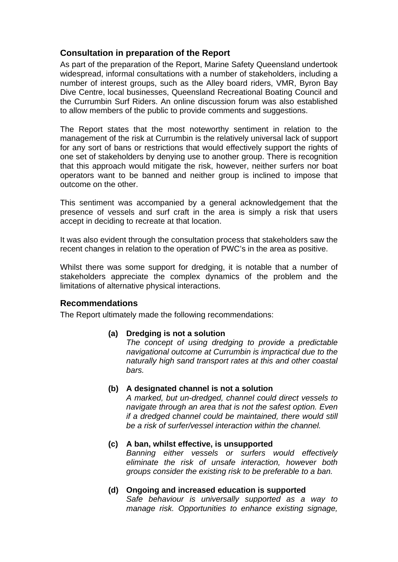# **Consultation in preparation of the Report**

As part of the preparation of the Report, Marine Safety Queensland undertook widespread, informal consultations with a number of stakeholders, including a number of interest groups, such as the Alley board riders, VMR, Byron Bay Dive Centre, local businesses, Queensland Recreational Boating Council and the Currumbin Surf Riders. An online discussion forum was also established to allow members of the public to provide comments and suggestions.

The Report states that the most noteworthy sentiment in relation to the management of the risk at Currumbin is the relatively universal lack of support for any sort of bans or restrictions that would effectively support the rights of one set of stakeholders by denying use to another group. There is recognition that this approach would mitigate the risk, however, neither surfers nor boat operators want to be banned and neither group is inclined to impose that outcome on the other.

This sentiment was accompanied by a general acknowledgement that the presence of vessels and surf craft in the area is simply a risk that users accept in deciding to recreate at that location.

It was also evident through the consultation process that stakeholders saw the recent changes in relation to the operation of PWC's in the area as positive.

Whilst there was some support for dredging, it is notable that a number of stakeholders appreciate the complex dynamics of the problem and the limitations of alternative physical interactions.

## **Recommendations**

The Report ultimately made the following recommendations:

#### **(a) Dredging is not a solution**

 *The concept of using dredging to provide a predictable navigational outcome at Currumbin is impractical due to the naturally high sand transport rates at this and other coastal bars.* 

#### **(b) A designated channel is not a solution**

 *A marked, but un-dredged, channel could direct vessels to navigate through an area that is not the safest option. Even if a dredged channel could be maintained, there would still be a risk of surfer/vessel interaction within the channel.* 

# **(c) A ban, whilst effective, is unsupported**

 *Banning either vessels or surfers would effectively eliminate the risk of unsafe interaction, however both groups consider the existing risk to be preferable to a ban.* 

#### **(d) Ongoing and increased education is supported**   *Safe behaviour is universally supported as a way to manage risk. Opportunities to enhance existing signage,*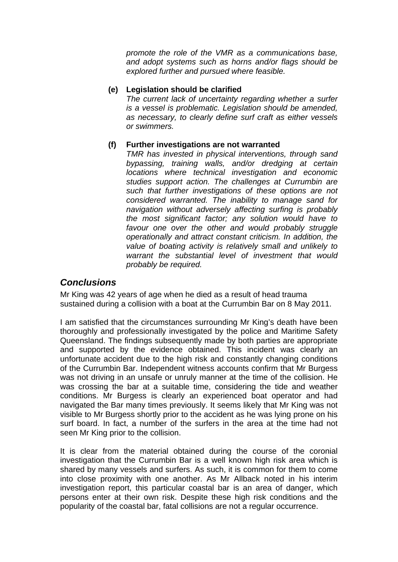*promote the role of the VMR as a communications base, and adopt systems such as horns and/or flags should be explored further and pursued where feasible.* 

#### **(e) Legislation should be clarified**

 *The current lack of uncertainty regarding whether a surfer is a vessel is problematic. Legislation should be amended, as necessary, to clearly define surf craft as either vessels or swimmers.* 

#### **(f) Further investigations are not warranted**

 *TMR has invested in physical interventions, through sand bypassing, training walls, and/or dredging at certain locations where technical investigation and economic studies support action. The challenges at Currumbin are such that further investigations of these options are not considered warranted. The inability to manage sand for navigation without adversely affecting surfing is probably the most significant factor; any solution would have to*  favour one over the other and would probably struggle *operationally and attract constant criticism. In addition, the value of boating activity is relatively small and unlikely to warrant the substantial level of investment that would probably be required.* 

### *Conclusions*

Mr King was 42 years of age when he died as a result of head trauma sustained during a collision with a boat at the Currumbin Bar on 8 May 2011.

I am satisfied that the circumstances surrounding Mr King's death have been thoroughly and professionally investigated by the police and Maritime Safety Queensland. The findings subsequently made by both parties are appropriate and supported by the evidence obtained. This incident was clearly an unfortunate accident due to the high risk and constantly changing conditions of the Currumbin Bar. Independent witness accounts confirm that Mr Burgess was not driving in an unsafe or unruly manner at the time of the collision. He was crossing the bar at a suitable time, considering the tide and weather conditions. Mr Burgess is clearly an experienced boat operator and had navigated the Bar many times previously. It seems likely that Mr King was not visible to Mr Burgess shortly prior to the accident as he was lying prone on his surf board. In fact, a number of the surfers in the area at the time had not seen Mr King prior to the collision.

It is clear from the material obtained during the course of the coronial investigation that the Currumbin Bar is a well known high risk area which is shared by many vessels and surfers. As such, it is common for them to come into close proximity with one another. As Mr Allback noted in his interim investigation report, this particular coastal bar is an area of danger, which persons enter at their own risk. Despite these high risk conditions and the popularity of the coastal bar, fatal collisions are not a regular occurrence.